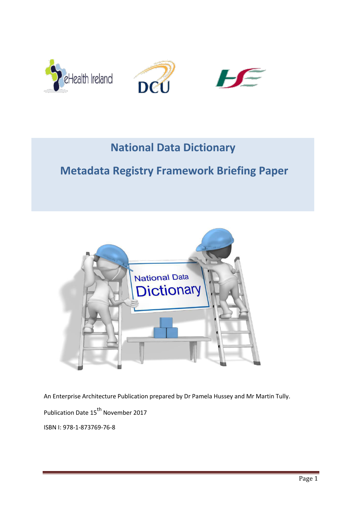

# **National Data Dictionary**

# **Metadata Registry Framework Briefing Paper**



An Enterprise Architecture Publication prepared by Dr Pamela Hussey and Mr Martin Tully. Publication Date 15<sup>th</sup> November 2017 ISBN I: 978-1-873769-76-8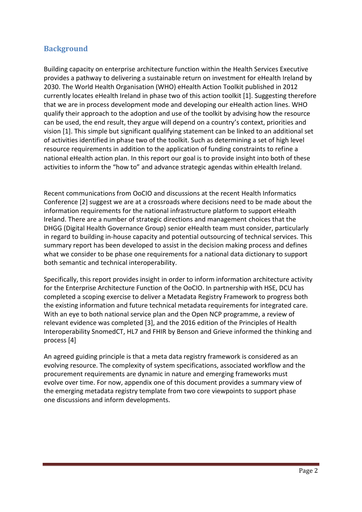## **Background**

Building capacity on enterprise architecture function within the Health Services Executive provides a pathway to delivering a sustainable return on investment for eHealth Ireland by 2030. The World Health Organisation (WHO) eHealth Action Toolkit published in 2012 currently locates eHealth Ireland in phase two of this action toolkit [1]. Suggesting therefore that we are in process development mode and developing our eHealth action lines. WHO qualify their approach to the adoption and use of the toolkit by advising how the resource can be used, the end result, they argue will depend on a country's context, priorities and vision [\[1\]. T](http://www.who.int/ehealth/publications/overview.pdf?ua=1.)his simple but significant qualifying statement can be linked to an additional set of activities identified in phase two of the toolkit. Such as determining a set of high level resource requirements in addition to the application of funding constraints to refine a national eHealth action plan. In this report our goal is to provide insight into both of these activities to inform the "how to" and advance strategic agendas within eHealth Ireland.

Recent communications from OoCIO and discussions at the recent Health Informatics Conference [2] suggest we are at a crossroads where decisions need to be made about the information requirements for the national infrastructure platform to support eHealth Ireland. There are a number of strategic directions and management choices that the DHGG (Digital Health Governance Group) senior eHealth team must consider, particularly in regard to building in-house capacity and potential outsourcing of technical services. This summary report has been developed to assist in the decision making process and defines what we consider to be phase one requirements for a national data dictionary to support both semantic and technical interoperability.

Specifically, this report provides insight in order to inform information architecture activity for the Enterprise Architecture Function of the OoCIO. In partnership with HSE, DCU has completed a scoping exercise to deliver a Metadata Registry Framework to progress both the existing information and future technical metadata requirements for integrated care. With an eye to both national service plan and the Open NCP programme, a review of relevant evidence was completed [3], and the 2016 edition of the Principles of Health Interoperability SnomedCT, HL7 and FHIR by Benson and Grieve informed the thinking and process [4]

An agreed guiding principle is that a meta data registry framework is considered as an evolving resource. The complexity of system specifications, associated workflow and the procurement requirements are dynamic in nature and emerging frameworks must evolve over time. For now, appendix one of this document provides a summary view of the emerging metadata registry template from two core viewpoints to support phase one discussions and inform developments.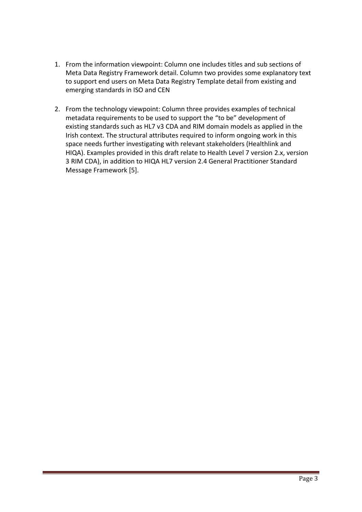- 1. From the information viewpoint: Column one includes titles and sub sections of Meta Data Registry Framework detail. Column two provides some explanatory text to support end users on Meta Data Registry Template detail from existing and emerging standards in ISO and CEN
- 2. From the technology viewpoint: Column three provides examples of technical metadata requirements to be used to support the "to be" development of existing standards such as HL7 v3 CDA and RIM domain models as applied in the Irish context. The structural attributes required to inform ongoing work in this space needs further investigating with relevant stakeholders (Healthlink and HIQA). Examples provided in this draft relate to Health Level 7 version 2.x, version 3 RIM CDA), in addition to HIQA HL7 version 2.4 General Practitioner Standard Message Framework [5].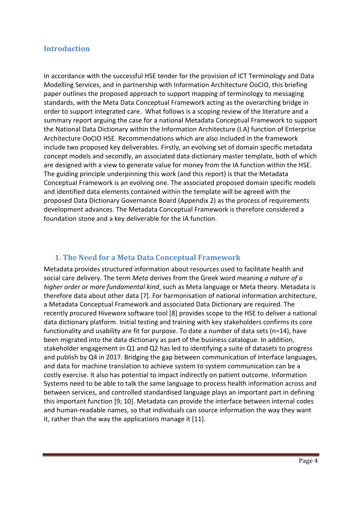## **Introduction**

In accordance with the successful HSE tender for the provision of ICT Terminology and Data Modelling Services, and in partnership with Information Architecture OoCIO, this briefing paper outlines the proposed approach to support mapping of terminology to messaging standards, with the Meta Data Conceptual Framework acting as the overarching bridge in order to support integrated care. What follows is a scoping review of the literature and a summary report arguing the case for a national Metadata Conceptual Framework to support the National Data Dictionary within the Information Architecture (I.A) function of Enterprise Architecture OoCIO HSE. Recommendations which are also included in the framework include two proposed key deliverables. Firstly, an evolving set of domain specific metadata concept models and secondly, an associated data dictionary master template, both of which are designed with a view to generate value for money from the IA function within the HSE. The guiding principle underpinning this work (and this report) is that the Metadata Conceptual Framework is an evolving one. The associated proposed domain specific models and identified data elements contained within the template will be agreed with the proposed Data Dictionary Governance Board (Appendix 2) as the process of requirements development advances. The Metadata Conceptual Framework is therefore considered a foundation stone and a key deliverable for the IA function.

## **1. The Need for a Meta Data Conceptual Framework**

Metadata provides structured information about resources used to facilitate health and social care delivery. The term *Meta* derives from the Greek word meaning *a nature of a higher order or more fundamental kind*, such as Meta language or Meta theory. Metadata is therefore data about other data [7]. For harmonisation of national information architecture, a Metadata Conceptual Framework and associated Data Dictionary are required. The recently procured Hiveworx software tool [8] provides scope to the HSE to deliver a national data dictionary platform. Initial testing and training with key stakeholders confirms its core functionality and usability are fit for purpose. To date a number of data sets (n=14), have been migrated into the data dictionary as part of the business catalogue. In addition, stakeholder engagement in Q1 and Q2 has led to identifying a suite of datasets to progress and publish by Q4 in 2017. Bridging the gap between communication of interface languages, and data for machine translation to achieve system to system communication can be a costly exercise. It also has potential to impact indirectly on patient outcome. Information Systems need to be able to talk the same language to process health information across and between services, and controlled standardised language plays an important part in defining this important function [9; 10]. Metadata can provide the interface between internal codes and human-readable names, so that individuals can source information the way they want it, rather than the way the applications manage it [11].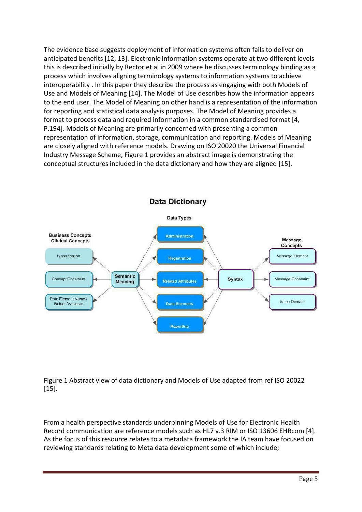The evidence base suggests deployment of information systems often fails to deliver on anticipated benefits [12, 13]. Electronic information systems operate at two different levels this is described initially by Rector et al in 2009 where he discusses terminology binding as a process which involves aligning terminology systems to information systems to achieve interoperability . In this paper they describe the process as engaging with both Models of Use and Models of Meaning [14]. The Model of Use describes how the information appears to the end user. The Model of Meaning on other hand is a representation of the information for reporting and statistical data analysis purposes. The Model of Meaning provides a format to process data and required information in a common standardised format [4, P.194]. Models of Meaning are primarily concerned with presenting a common representation of information, storage, communication and reporting. Models of Meaning are closely aligned with reference models. Drawing on ISO 20020 the Universal Financial Industry Message Scheme, Figure 1 provides an abstract image is demonstrating the conceptual structures included in the data dictionary and how they are aligned [15].



Figure 1 Abstract view of data dictionary and Models of Use adapted from ref ISO 20022 [15].

From a health perspective standards underpinning Models of Use for Electronic Health Record communication are reference models such as HL7 v.3 RIM or ISO 13606 EHRcom [4]. As the focus of this resource relates to a metadata framework the IA team have focused on reviewing standards relating to Meta data development some of which include;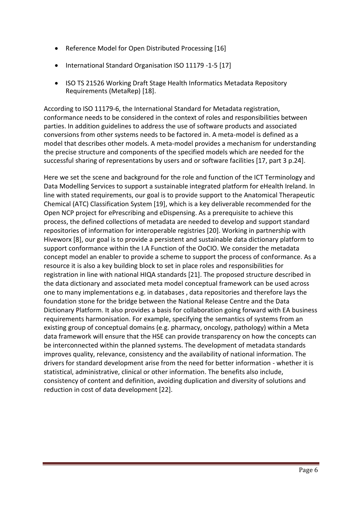- Reference Model for Open Distributed Processing [16]
- International Standard Organisation ISO 11179 -1-5 [17]
- ISO TS 21526 Working Draft Stage Health Informatics Metadata Repository Requirements (MetaRep) [18].

According to ISO 11179-6, the International Standard for Metadata registration, conformance needs to be considered in the context of roles and responsibilities between parties. In addition guidelines to address the use of software products and associated conversions from other systems needs to be factored in. A meta-model is defined as a model that describes other models. A meta-model provides a mechanism for understanding the precise structure and components of the specified models which are needed for the successful sharing of representations by users and or software facilities [17, part 3 p.24].

Here we set the scene and background for the role and function of the ICT Terminology and Data Modelling Services to support a sustainable integrated platform for eHealth Ireland. In line with stated requirements, our goal is to provide support to the Anatomical Therapeutic Chemical (ATC) Classification System [19], which is a key deliverable recommended for the Open NCP project for ePrescribing and eDispensing. As a prerequisite to achieve this process, the defined collections of metadata are needed to develop and support standard repositories of information for interoperable registries [20]. Working in partnership with Hiveworx [8], our goal is to provide a persistent and sustainable data dictionary platform to support conformance within the I.A Function of the OoCIO. We consider the metadata concept model an enabler to provide a scheme to support the process of conformance. As a resource it is also a key building block to set in place roles and responsibilities for registration in line with national HIQA standards [21]. The proposed structure described in the data dictionary and associated meta model conceptual framework can be used across one to many implementations e.g. in databases , data repositories and therefore lays the foundation stone for the bridge between the National Release Centre and the Data Dictionary Platform. It also provides a basis for collaboration going forward with EA business requirements harmonisation. For example, specifying the semantics of systems from an existing group of conceptual domains (e.g. pharmacy, oncology, pathology) within a Meta data framework will ensure that the HSE can provide transparency on how the concepts can be interconnected within the planned systems. The development of metadata standards improves quality, relevance, consistency and the availability of national information. The drivers for standard development arise from the need for better information - whether it is statistical, administrative, clinical or other information. The benefits also include, consistency of content and definition, avoiding duplication and diversity of solutions and reduction in cost of data development [22].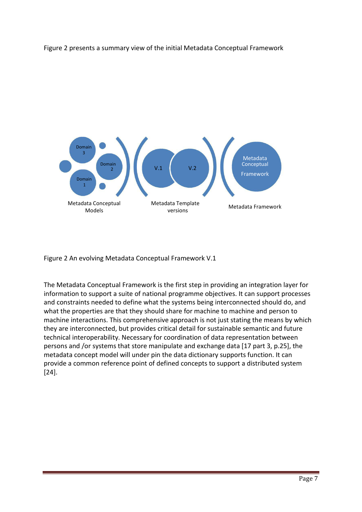



Figure 2 An evolving Metadata Conceptual Framework V.1

The Metadata Conceptual Framework is the first step in providing an integration layer for information to support a suite of national programme objectives. It can support processes and constraints needed to define what the systems being interconnected should do, and what the properties are that they should share for machine to machine and person to machine interactions. This comprehensive approach is not just stating the means by which they are interconnected, but provides critical detail for sustainable semantic and future technical interoperability. Necessary for coordination of data representation between persons and /or systems that store manipulate and exchange data [17 part 3, p.25], the metadata concept model will under pin the data dictionary supports function. It can provide a common reference point of defined concepts to support a distributed system [24].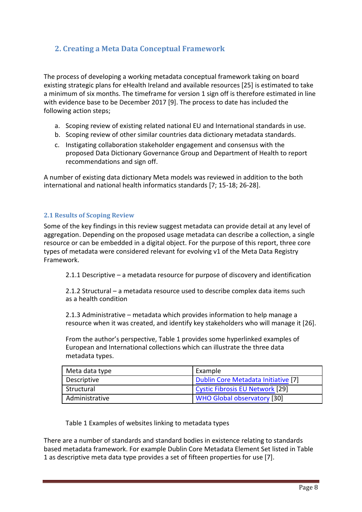# **2. Creating a Meta Data Conceptual Framework**

The process of developing a working metadata conceptual framework taking on board existing strategic plans for eHealth Ireland and available resources [25] is estimated to take a minimum of six months. The timeframe for version 1 sign off is therefore estimated in line with evidence base to be December 2017 [9]. The process to date has included the following action steps;

- a. Scoping review of existing related national EU and International standards in use.
- b. Scoping review of other similar countries data dictionary metadata standards.
- c. Instigating collaboration stakeholder engagement and consensus with the proposed Data Dictionary Governance Group and Department of Health to report recommendations and sign off.

A number of existing data dictionary Meta models was reviewed in addition to the both international and national health informatics standards [7; 15-18; 26-28].

#### **2.1 Results of Scoping Review**

Some of the key findings in this review suggest metadata can provide detail at any level of aggregation. Depending on the proposed usage metadata can describe a collection, a single resource or can be embedded in a digital object. For the purpose of this report, three core types of metadata were considered relevant for evolving v1 of the Meta Data Registry Framework.

2.1.1 Descriptive – a metadata resource for purpose of discovery and identification

2.1.2 Structural – a metadata resource used to describe complex data items such as a health condition

2.1.3 Administrative – metadata which provides information to help manage a resource when it was created, and identify key stakeholders who will manage it [26].

From the author's perspective, Table 1 provides some hyperlinked examples of European and International collections which can illustrate the three data metadata types.

| Meta data type | Example                             |
|----------------|-------------------------------------|
| Descriptive    | Dublin Core Metadata Initiative [7] |
| Structural     | Cystic Fibrosis EU Network [29]     |
| Administrative | <b>WHO Global observatory [30]</b>  |

Table 1 Examples of websites linking to metadata types

There are a number of standards and standard bodies in existence relating to standards based metadata framework. For example Dublin Core Metadata Element Set listed in Table 1 as descriptive meta data type provides a set of fifteen properties for use [7].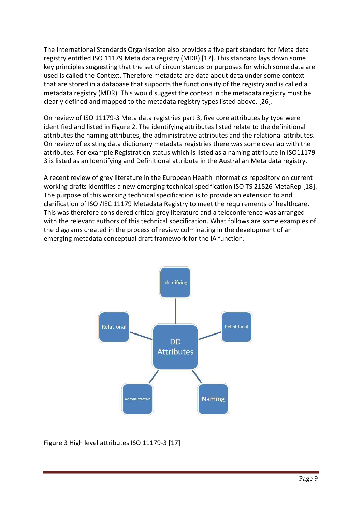The International Standards Organisation also provides a five part standard for Meta data registry entitled ISO 11179 Meta data registry (MDR) [17]. This standard lays down some key principles suggesting that the set of circumstances or purposes for which some data are used is called the Context. Therefore metadata are data about data under some context that are stored in a database that supports the functionality of the registry and is called a metadata registry (MDR). This would suggest the context in the metadata registry must be clearly defined and mapped to the metadata registry types listed above. [26].

On review of ISO 11179-3 Meta data registries part 3, five core attributes by type were identified and listed in Figure 2. The identifying attributes listed relate to the definitional attributes the naming attributes, the administrative attributes and the relational attributes. On review of existing data dictionary metadata registries there was some overlap with the attributes. For example Registration status which is listed as a naming attribute in ISO11179- 3 is listed as an Identifying and Definitional attribute in the Australian Meta data registry.

A recent review of grey literature in the European Health Informatics repository on current working drafts identifies a new emerging technical specification ISO TS 21526 MetaRep [18]. The purpose of this working technical specification is to provide an extension to and clarification of ISO /IEC 11179 Metadata Registry to meet the requirements of healthcare. This was therefore considered critical grey literature and a teleconference was arranged with the relevant authors of this technical specification. What follows are some examples of the diagrams created in the process of review culminating in the development of an emerging metadata conceptual draft framework for the IA function.



#### Figure 3 High level attributes ISO 11179-3 [17]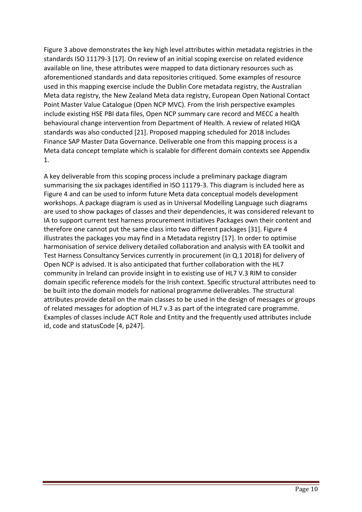Figure 3 above demonstrates the key high level attributes within metadata registries in the standards ISO 11179-3 [17]. On review of an initial scoping exercise on related evidence available on line, these attributes were mapped to data dictionary resources such as aforementioned standards and data repositories critiqued. Some examples of resource used in this mapping exercise include the Dublin Core metadata registry, the Australian Meta data registry, the New Zealand Meta data registry, European Open National Contact Point Master Value Catalogue (Open NCP MVC). From the Irish perspective examples include existing HSE PBI data files, Open NCP summary care record and MECC a health behavioural change intervention from Department of Health. A review of related HIQA standards was also conducted [21]. Proposed mapping scheduled for 2018 includes Finance SAP Master Data Governance. Deliverable one from this mapping process is a Meta data concept template which is scalable for different domain contexts see Appendix 1.

A key deliverable from this scoping process include a preliminary package diagram summarising the six packages identified in ISO 11179-3. This diagram is included here as Figure 4 and can be used to inform future Meta data conceptual models development workshops. A package diagram is used as in Universal Modelling Language such diagrams are used to show packages of classes and their dependencies, it was considered relevant to IA to support current test harness procurement initiatives Packages own their content and therefore one cannot put the same class into two different packages [31]. Figure 4 illustrates the packages you may find in a Metadata registry [17]. In order to optimise harmonisation of service delivery detailed collaboration and analysis with EA toolkit and Test Harness Consultancy Services currently in procurement (in Q.1 2018) for delivery of Open NCP is advised. It is also anticipated that further collaboration with the HL7 community in Ireland can provide insight in to existing use of HL7 V.3 RIM to consider domain specific reference models for the Irish context. Specific structural attributes need to be built into the domain models for national programme deliverables. The structural attributes provide detail on the main classes to be used in the design of messages or groups of related messages for adoption of HL7 v.3 as part of the integrated care programme. Examples of classes include ACT Role and Entity and the frequently used attributes include id, code and statusCode [4, p247].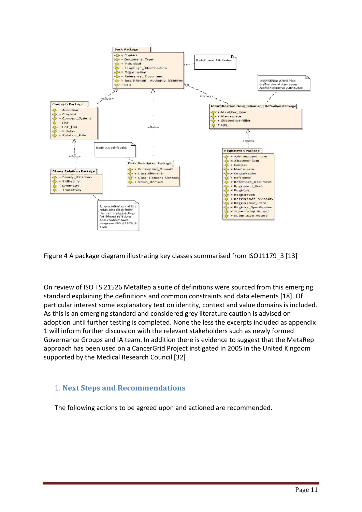

Figure 4 A package diagram illustrating key classes summarised from ISO11179\_3 [13]

On review of ISO TS 21526 MetaRep a suite of definitions were sourced from this emerging standard explaining the definitions and common constraints and data elements [18]. Of particular interest some explanatory text on identity, context and value domains is included. As this is an emerging standard and considered grey literature caution is advised on adoption until further testing is completed. None the less the excerpts included as appendix 1 will inform further discussion with the relevant stakeholders such as newly formed Governance Groups and IA team. In addition there is evidence to suggest that the MetaRep approach has been used on a CancerGrid Project instigated in 2005 in the United Kingdom supported by the Medical Research Council [32]

## 1. **Next Steps and Recommendations**

The following actions to be agreed upon and actioned are recommended.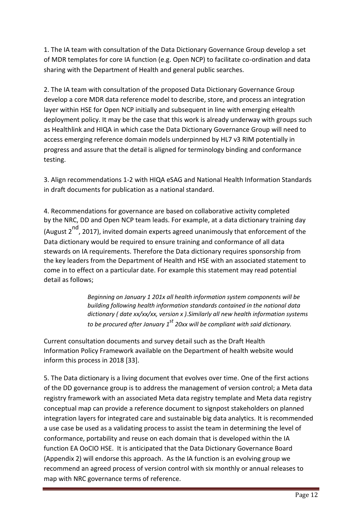1. The IA team with consultation of the Data Dictionary Governance Group develop a set of MDR templates for core IA function (e.g. Open NCP) to facilitate co-ordination and data sharing with the Department of Health and general public searches.

2. The IA team with consultation of the proposed Data Dictionary Governance Group develop a core MDR data reference model to describe, store, and process an integration layer within HSE for Open NCP initially and subsequent in line with emerging eHealth deployment policy. It may be the case that this work is already underway with groups such as Healthlink and HIQA in which case the Data Dictionary Governance Group will need to access emerging reference domain models underpinned by HL7 v3 RIM potentially in progress and assure that the detail is aligned for terminology binding and conformance testing.

3. Align recommendations 1-2 with HIQA eSAG and National Health Information Standards in draft documents for publication as a national standard.

4. Recommendations for governance are based on collaborative activity completed by the NRC, DD and Open NCP team leads. For example, at a data dictionary training day (August  $2^{nd}$ , 2017), invited domain experts agreed unanimously that enforcement of the Data dictionary would be required to ensure training and conformance of all data stewards on IA requirements. Therefore the Data dictionary requires sponsorship from the key leaders from the Department of Health and HSE with an associated statement to come in to effect on a particular date. For example this statement may read potential detail as follows;

> *Beginning on January 1 201x all health information system components will be building following health information standards contained in the national data dictionary ( date xx/xx/xx, version x ).Similarly all new health information systems to be procured after January 1st 20xx will be compliant with said dictionary.*

Current consultation documents and survey detail such as the Draft Health Information Policy Framework available on the Department of health website would inform this process in 2018 [33].

5. The Data dictionary is a living document that evolves over time. One of the first actions of the DD governance group is to address the management of version control; a Meta data registry framework with an associated Meta data registry template and Meta data registry conceptual map can provide a reference document to signpost stakeholders on planned integration layers for integrated care and sustainable big data analytics. It is recommended a use case be used as a validating process to assist the team in determining the level of conformance, portability and reuse on each domain that is developed within the IA function EA OoCIO HSE. It is anticipated that the Data Dictionary Governance Board (Appendix 2) will endorse this approach. As the IA function is an evolving group we recommend an agreed process of version control with six monthly or annual releases to map with NRC governance terms of reference.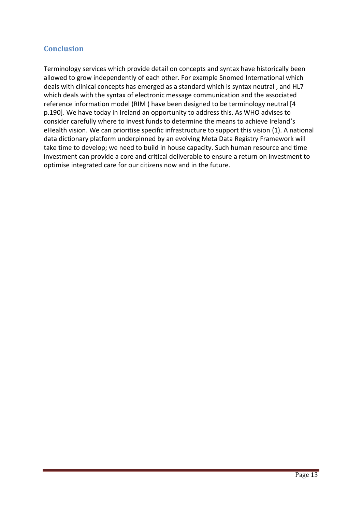## **Conclusion**

Terminology services which provide detail on concepts and syntax have historically been allowed to grow independently of each other. For example Snomed International which deals with clinical concepts has emerged as a standard which is syntax neutral , and HL7 which deals with the syntax of electronic message communication and the associated reference information model (RIM ) have been designed to be terminology neutral [4 p.190]. We have today in Ireland an opportunity to address this. As WHO advises to consider carefully where to invest funds to determine the means to achieve Ireland's eHealth vision. We can prioritise specific infrastructure to support this vision [\(1\). A](http://www.who.int/ehealth/publications/overview.pdf?ua=1.) national data dictionary platform underpinned by an evolving Meta Data Registry Framework will take time to develop; we need to build in house capacity. Such human resource and time investment can provide a core and critical deliverable to ensure a return on investment to optimise integrated care for our citizens now and in the future.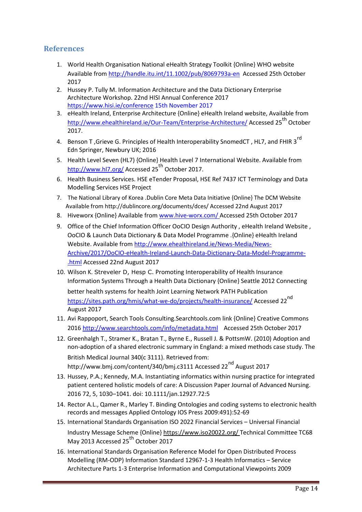## **References**

- 1. World Health Organisation National eHealth Strategy Toolkit {Online} WHO website Available fro[m http://handle.itu.int/11.1002/pub/8069793a-en](http://handle.itu.int/11.1002/pub/8069793a-en) Accessed 25th October 2017
- 2. Hussey P. Tully M. Information Architecture and the Data Dictionary Enterprise Architecture Workshop. 22nd HISI Annual Conference 2017 [https://www.hisi.ie/conference 1](https://www.hisi.ie/conference)5th November 2017
- 3. eHealth Ireland, Enterprise Architecture {Online} eHealth Ireland website, Available from [http://www.ehealthireland.ie/Our-Team/Enterprise-Architecture/ A](http://www.ehealthireland.ie/Our-Team/Enterprise-Architecture/)ccessed 25<sup>th</sup> October 2017.
- 4. Benson T, Grieve G. Principles of Health Interoperability SnomedCT . HL7. and FHIR 3<sup>rd</sup> Edn Springer, Newbury UK; 2016
- 5. Health Level Seven (HL7) {Online} Health Level 7 International Website. Available from [http://www.hl7.org/ A](http://www.hl7.org/)ccessed 25<sup>th</sup> October 2017.
- 6. Health Business Services. HSE eTender Proposal, HSE Ref 7437 ICT Terminology and Data Modelling Services HSE Project
- 7. The National Library of Korea .Dublin Core Meta Data Initiative {Online} The DCM Website Available fro[m http://dublincore.org/documents/dces/ A](http://dublincore.org/documents/dces/)ccessed 22nd August 2017
- 8. Hiveworx {Online} Available from [www.hive-worx.com/ A](http://www.hive-worx.com/)ccessed 25th October 2017
- 9. Office of the Chief Information Officer OoCIO Design Authority , eHealth Ireland Website , OoCIO & Launch Data Dictionary & Data Model Programme .{Online} eHealth Ireland Website. Available fro[m http://www.ehealthireland.ie/News-Media/News-](http://www.ehealthireland.ie/News-Media/News-Archive/2017/OoCIO-eHealth-Ireland-Launch-Data-Dictionary-Data-Model-Programme-.html)[Archive/2017/OoCIO-eHealth-Ireland-Launch-Data-Dictionary-Data-Model-Programme-](http://www.ehealthireland.ie/News-Media/News-Archive/2017/OoCIO-eHealth-Ireland-Launch-Data-Dictionary-Data-Model-Programme-.html)  [.html A](http://www.ehealthireland.ie/News-Media/News-Archive/2017/OoCIO-eHealth-Ireland-Launch-Data-Dictionary-Data-Model-Programme-.html)ccessed 22nd August 2017
- 10. Wilson K. Streveler D, Hesp C. Promoting Interoperability of Health Insurance Information Systems Through a Health Data Dictionary {Online} Seattle 2012 Connecting better health systems for health Joint Learning Network PATH Publication [https://sites.path.org/hmis/what-we-do/projects/health-insurance/ A](https://sites.path.org/hmis/what-we-do/projects/health-insurance/)ccessed 22<sup>nd</sup> August 2017
- 11. Avi Rappoport, Search Tools Consulting.Searchtools.com link {Online} Creative Commons 2016<http://www.searchtools.com/info/metadata.html>Accessed 25th October 2017
- 12. Greenhalgh T., Stramer K., Bratan T., Byrne E., Russell J. & PottsmW. (2010) Adoption and non-adoption of a shared electronic summary in England: a mixed methods case study. The British Medical Journal 340(c 3111). Retrieved from: http://www.bmj.com/content/340/bmj.c3111 Accessed 22<sup>nd</sup> August 2017
- 13. Hussey, P.A.; Kennedy, M.A. Instantiating informatics within nursing practice for integrated patient centered holistic models of care: A Discussion Paper Journal of Advanced Nursing. 2016 72, 5, 1030–1041. doi: 10.1111/jan.12927.72:5
- 14. Rector A.L., Qamer R., Marley T. Binding Ontologies and coding systems to electronic health records and messages Applied Ontology IOS Press 2009:491):52-69
- 15. International Standards Organisation ISO 2022 Financial Services Universal Financial Industry Message Scheme {Online} [https://www.iso20022.org/ T](https://www.iso20022.org/)echnical Committee TC68 May 2013 Accessed 25<sup>th</sup> October 2017
- 16. International Standards Organisation Reference Model for Open Distributed Process Modelling (RM-ODP) Information Standard 12967-1-3 Health Informatics – Service Architecture Parts 1-3 Enterprise Information and Computational Viewpoints 2009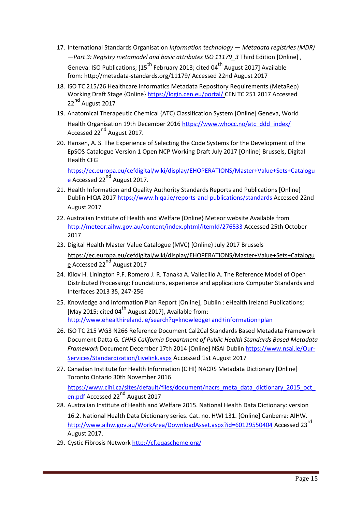- 17. International Standards Organisation *Information technology — Metadata registries (MDR) —Part 3: Registry metamodel and basic attributes ISO 11179\_3* Third Edition [Online] , Geneva: ISO Publications:  $[15^{th}$  February 2013; cited 04 $^{th}$  August 2017] Available from: [http://metadata-standards.org/11179/ A](http://metadata-standards.org/11179/)ccessed 22nd August 2017
- 18. ISO TC 215/26 Healthcare Informatics Metadata Repository Requirements (MetaRep) Working Draft Stage {Online[} https://login.cen.eu/portal/ C](https://login.cen.eu/portal/)EN TC 251 2017 Accessed 22<sup>nd</sup> August 2017
- 19. Anatomical Therapeutic Chemical (ATC) Classification System [Online] Geneva, World Health Organisation 19th December 201[6 https://www.whocc.no/atc\\_ddd\\_index/](https://www.whocc.no/atc_ddd_index/) Accessed 22<sup>nd</sup> August 2017.
- 20. Hansen, A. S. The Experience of Selecting the Code Systems for the Development of the EpSOS Catalogue Version 1 Open NCP Working Draft July 2017 [Online] Brussels, Digital Health CFG

[https://ec.europa.eu/cefdigital/wiki/display/EHOPERATIONS/Master+Value+Sets+Catalogu](https://ec.europa.eu/cefdigital/wiki/display/EHOPERATIONS/Master+Value+Sets+Catalogue)   $\overline{e}$  Accessed 22<sup>nd</sup> August 2017.

- 21. Health Information and Quality Authority Standards Reports and Publications [Online] Dublin HIQA 2017 [https://www.hiqa.ie/reports-and-publications/standards A](https://www.hiqa.ie/reports-and-publications/standards)ccessed 22nd August 2017
- 22. Australian Institute of Health and Welfare {Online} Meteor website Available from [http://meteor.aihw.gov.au/content/index.phtml/itemId/276533 A](http://meteor.aihw.gov.au/content/index.phtml/itemId/276533)ccessed 25th October 2017
- 23. Digital Health Master Value Catalogue (MVC) {Online} July 2017 Brussels [https://ec.europa.eu/cefdigital/wiki/display/EHOPERATIONS/Master+Value+Sets+Catalogu](https://ec.europa.eu/cefdigital/wiki/display/EHOPERATIONS/Master+Value+Sets+Catalogue)  [e A](https://ec.europa.eu/cefdigital/wiki/display/EHOPERATIONS/Master+Value+Sets+Catalogue)ccessed 22 $^{\text{nd}}$  August 2017
- 24. Kilov H. Linington P.F. Romero J. R. Tanaka A. Vallecillo A. The Reference Model of Open Distributed Processing: Foundations, experience and applications Computer Standards and Interfaces 2013 35, 247-256
- 25. Knowledge and Information Plan Report [Online], Dublin : eHealth Ireland Publications; [May 2015; cited 04 $^{\text{th}}$  August 2017]. Available from: <http://www.ehealthireland.ie/search?q=knowledge+and+information+plan>
- 26. ISO TC 215 WG3 N266 Reference Document Cal2Cal Standards Based Metadata Framework Document Datta G*. CHHS California Department of Public Health Standards Based Metadata Framework* Document December 17th 2014 [Online] NSAI Dublin [https://www.nsai.ie/Our-](https://www.nsai.ie/Our-Services/Standardization/Livelink.aspx)[Services/Standardization/Livelink.aspx](https://www.nsai.ie/Our-Services/Standardization/Livelink.aspx) Accessed 1st August 2017
- 27. Canadian Institute for Health Information (CIHI) NACRS Metadata Dictionary [Online] Toronto Ontario 30th November 2016

https://www.cihi.ca/sites/default/files/document/nacrs\_meta\_data\_dictionary\_2015\_oct [en.pdf A](https://www.cihi.ca/sites/default/files/document/nacrs_meta_data_dictionary_2015_oct_en.pdf)ccessed 22<sup>nd</sup> August 2017

- 28. Australian Institute of Health and Welfare 2015. National Health Data Dictionary: version 16.2. National Health Data Dictionary series. Cat. no. HWI 131. [Online] Canberra: AIHW. [http://www.aihw.gov.au/WorkArea/DownloadAsset.aspx?id=60129550404 A](http://www.aihw.gov.au/WorkArea/DownloadAsset.aspx?id=60129550404)ccessed 23<sup>rd</sup> August 2017.
- 29. Cystic Fibrosis Networ[k http://cf.eqascheme.org/](http://cf.eqascheme.org/)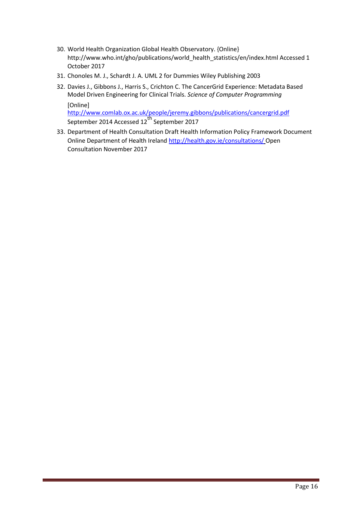- 30. World Health Organization Global Health Observatory. {Online} http://www.who.int/gho/publications/world\_health\_statistics/en/index.html Accessed 1 October 2017
- 31. Chonoles M. J., Schardt J. A. UML 2 for Dummies Wiley Publishing 2003
- 32. Davies J., Gibbons J., Harris S., Crichton C. The CancerGrid Experience: Metadata Based Model Driven Engineering for Clinical Trials. *Science of Computer Programming* [Online]

<http://www.comlab.ox.ac.uk/people/jeremy.gibbons/publications/cancergrid.pdf> September 2014 Accessed 12<sup>th</sup> September 2017

33. Department of Health Consultation Draft Health Information Policy Framework Document Online Department of Health Irelan[d http://health.gov.ie/consultations/ O](http://health.gov.ie/consultations/)pen Consultation November 2017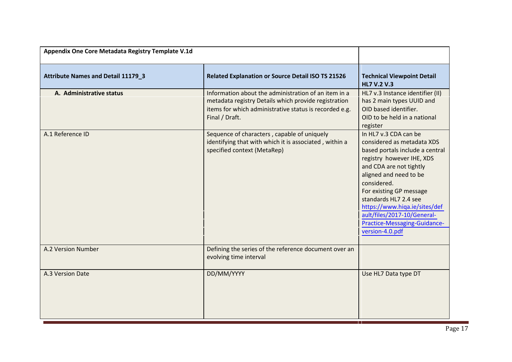| Appendix One Core Metadata Registry Template V.1d |                                                                                                                                                                                          |                                                                                                                                                                                                                                                                                                                                                                |
|---------------------------------------------------|------------------------------------------------------------------------------------------------------------------------------------------------------------------------------------------|----------------------------------------------------------------------------------------------------------------------------------------------------------------------------------------------------------------------------------------------------------------------------------------------------------------------------------------------------------------|
| <b>Attribute Names and Detail 11179 3</b>         | <b>Related Explanation or Source Detail ISO TS 21526</b>                                                                                                                                 | <b>Technical Viewpoint Detail</b><br><b>HL7 V.2 V.3</b>                                                                                                                                                                                                                                                                                                        |
| A. Administrative status                          | Information about the administration of an item in a<br>metadata registry Details which provide registration<br>items for which administrative status is recorded e.g.<br>Final / Draft. | HL7 v.3 Instance identifier (II)<br>has 2 main types UUID and<br>OID based identifier.<br>OID to be held in a national<br>register                                                                                                                                                                                                                             |
| A.1 Reference ID                                  | Sequence of characters, capable of uniquely<br>identifying that with which it is associated, within a<br>specified context (MetaRep)                                                     | In HL7 v.3 CDA can be<br>considered as metadata XDS<br>based portals include a central<br>registry however IHE, XDS<br>and CDA are not tightly<br>aligned and need to be<br>considered.<br>For existing GP message<br>standards HL7 2.4 see<br>https://www.hiqa.ie/sites/def<br>ault/files/2017-10/General-<br>Practice-Messaging-Guidance-<br>version-4.0.pdf |
| A.2 Version Number                                | Defining the series of the reference document over an<br>evolving time interval                                                                                                          |                                                                                                                                                                                                                                                                                                                                                                |
| A.3 Version Date                                  | DD/MM/YYYY                                                                                                                                                                               | Use HL7 Data type DT                                                                                                                                                                                                                                                                                                                                           |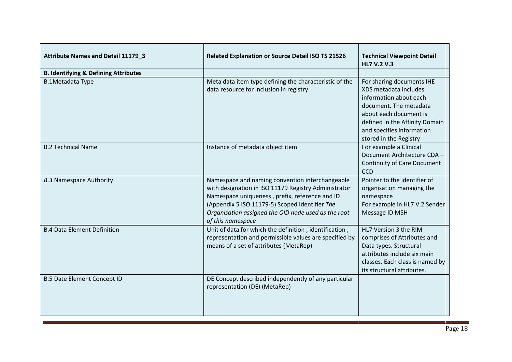| <b>Attribute Names and Detail 11179 3</b>       | <b>Related Explanation or Source Detail ISO TS 21526</b>                                                                                                                                                                                                                                | <b>Technical Viewpoint Detail</b><br><b>HL7 V.2 V.3</b>                                                                                                                                                                   |
|-------------------------------------------------|-----------------------------------------------------------------------------------------------------------------------------------------------------------------------------------------------------------------------------------------------------------------------------------------|---------------------------------------------------------------------------------------------------------------------------------------------------------------------------------------------------------------------------|
| <b>B. Identifying &amp; Defining Attributes</b> |                                                                                                                                                                                                                                                                                         |                                                                                                                                                                                                                           |
| <b>B.1Metadata Type</b>                         | Meta data item type defining the characteristic of the<br>data resource for inclusion in registry                                                                                                                                                                                       | For sharing documents IHE<br>XDS metadata includes<br>information about each<br>document. The metadata<br>about each document is<br>defined in the Affinity Domain<br>and specifies information<br>stored in the Registry |
| <b>B.2 Technical Name</b>                       | Instance of metadata object item                                                                                                                                                                                                                                                        | For example a Clinical<br>Document Architecture CDA -<br>Continuity of Care Document<br><b>CCD</b>                                                                                                                        |
| <b>B.3 Namespace Authority</b>                  | Namespace and naming convention interchangeable<br>with designation in ISO 11179 Registry Administrator<br>Namespace uniqueness, prefix, reference and ID<br>(Appendix 5 ISO 11179-5) Scoped Identifier The<br>Organisation assigned the OID node used as the root<br>of this namespace | Pointer to the identifier of<br>organisation managing the<br>namespace<br>For example in HL7 V.2 Sender<br>Message ID MSH                                                                                                 |
| <b>B.4 Data Element Definition</b>              | Unit of data for which the definition, identification,<br>representation and permissible values are specified by<br>means of a set of attributes (MetaRep)                                                                                                                              | HL7 Version 3 the RIM<br>comprises of Attributes and<br>Data types. Structural<br>attributes include six main<br>classes. Each class is named by<br>its structural attributes.                                            |
| <b>B.5 Date Element Concept ID</b>              | DE Concept described independently of any particular<br>representation (DE) (MetaRep)                                                                                                                                                                                                   |                                                                                                                                                                                                                           |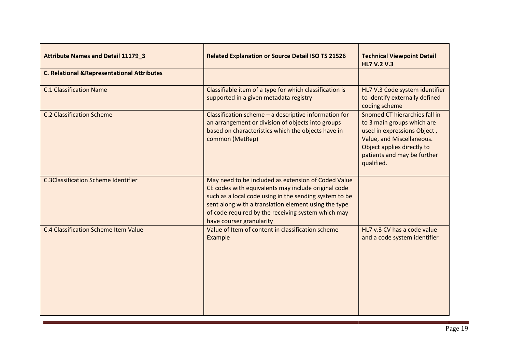| <b>Attribute Names and Detail 11179_3</b>              | <b>Related Explanation or Source Detail ISO TS 21526</b>                                                                                                                                                                                                                                                       | <b>Technical Viewpoint Detail</b><br><b>HL7 V.2 V.3</b>                                                                                                                                            |
|--------------------------------------------------------|----------------------------------------------------------------------------------------------------------------------------------------------------------------------------------------------------------------------------------------------------------------------------------------------------------------|----------------------------------------------------------------------------------------------------------------------------------------------------------------------------------------------------|
| <b>C. Relational &amp; Representational Attributes</b> |                                                                                                                                                                                                                                                                                                                |                                                                                                                                                                                                    |
| <b>C.1 Classification Name</b>                         | Classifiable item of a type for which classification is<br>supported in a given metadata registry                                                                                                                                                                                                              | HL7 V.3 Code system identifier<br>to identify externally defined<br>coding scheme                                                                                                                  |
| <b>C.2 Classification Scheme</b>                       | Classification scheme $-$ a descriptive information for<br>an arrangement or division of objects into groups<br>based on characteristics which the objects have in<br>common (MetRep)                                                                                                                          | Snomed CT hierarchies fall in<br>to 3 main groups which are<br>used in expressions Object,<br>Value, and Miscellaneous.<br>Object applies directly to<br>patients and may be further<br>qualified. |
| <b>C.3Classification Scheme Identifier</b>             | May need to be included as extension of Coded Value<br>CE codes with equivalents may include original code<br>such as a local code using in the sending system to be<br>sent along with a translation element using the type<br>of code required by the receiving system which may<br>have courser granularity |                                                                                                                                                                                                    |
| C.4 Classification Scheme Item Value                   | Value of Item of content in classification scheme<br>Example                                                                                                                                                                                                                                                   | HL7 v.3 CV has a code value<br>and a code system identifier                                                                                                                                        |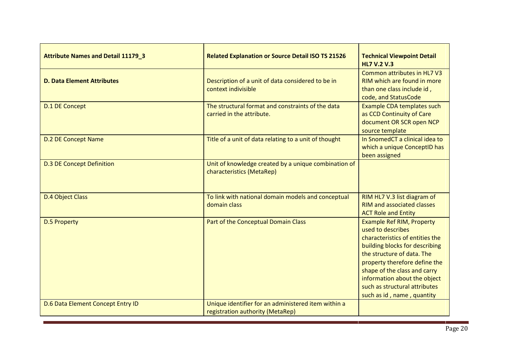| <b>Attribute Names and Detail 11179_3</b> | <b>Related Explanation or Source Detail ISO TS 21526</b>                                | <b>Technical Viewpoint Detail</b><br><b>HL7 V.2 V.3</b>                                                                                                                                                                                                                                                                  |
|-------------------------------------------|-----------------------------------------------------------------------------------------|--------------------------------------------------------------------------------------------------------------------------------------------------------------------------------------------------------------------------------------------------------------------------------------------------------------------------|
| <b>D. Data Element Attributes</b>         | Description of a unit of data considered to be in<br>context indivisible                | Common attributes in HL7 V3<br>RIM which are found in more<br>than one class include id,<br>code, and StatusCode                                                                                                                                                                                                         |
| <b>D.1 DE Concept</b>                     | The structural format and constraints of the data<br>carried in the attribute.          | Example CDA templates such<br>as CCD Continuity of Care<br>document OR SCR open NCP<br>source template                                                                                                                                                                                                                   |
| <b>D.2 DE Concept Name</b>                | Title of a unit of data relating to a unit of thought                                   | In SnomedCT a clinical idea to<br>which a unique ConceptID has<br>been assigned                                                                                                                                                                                                                                          |
| <b>D.3 DE Concept Definition</b>          | Unit of knowledge created by a unique combination of<br>characteristics (MetaRep)       |                                                                                                                                                                                                                                                                                                                          |
| <b>D.4 Object Class</b>                   | To link with national domain models and conceptual<br>domain class                      | RIM HL7 V.3 list diagram of<br><b>RIM and associated classes</b><br><b>ACT Role and Entity</b>                                                                                                                                                                                                                           |
| <b>D.5 Property</b>                       | Part of the Conceptual Domain Class                                                     | <b>Example Ref RIM, Property</b><br>used to describes<br>characteristics of entities the<br>building blocks for describing<br>the structure of data. The<br>property therefore define the<br>shape of the class and carry<br>information about the object<br>such as structural attributes<br>such as id, name, quantity |
| D.6 Data Element Concept Entry ID         | Unique identifier for an administered item within a<br>registration authority (MetaRep) |                                                                                                                                                                                                                                                                                                                          |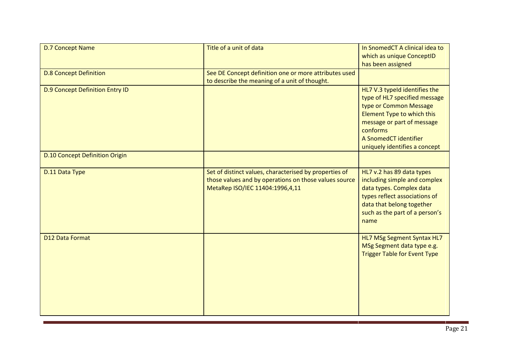| <b>D.7 Concept Name</b>                | Title of a unit of data                                                                                                                            | In SnomedCT A clinical idea to<br>which as unique ConceptID<br>has been assigned                                                                                                                                           |
|----------------------------------------|----------------------------------------------------------------------------------------------------------------------------------------------------|----------------------------------------------------------------------------------------------------------------------------------------------------------------------------------------------------------------------------|
| <b>D.8 Concept Definition</b>          | See DE Concept definition one or more attributes used<br>to describe the meaning of a unit of thought.                                             |                                                                                                                                                                                                                            |
| <b>D.9 Concept Definition Entry ID</b> |                                                                                                                                                    | HL7 V.3 typeId identifies the<br>type of HL7 specified message<br>type or Common Message<br>Element Type to which this<br>message or part of message<br>conforms<br>A SnomedCT identifier<br>uniquely identifies a concept |
| <b>D.10 Concept Definition Origin</b>  |                                                                                                                                                    |                                                                                                                                                                                                                            |
| D.11 Data Type                         | Set of distinct values, characterised by properties of<br>those values and by operations on those values source<br>MetaRep ISO/IEC 11404:1996,4,11 | HL7 v.2 has 89 data types<br>including simple and complex<br>data types. Complex data<br>types reflect associations of<br>data that belong together<br>such as the part of a person's<br>name                              |
| D12 Data Format                        |                                                                                                                                                    | HL7 MSg Segment Syntax HL7<br>MSg Segment data type e.g.<br><b>Trigger Table for Event Type</b>                                                                                                                            |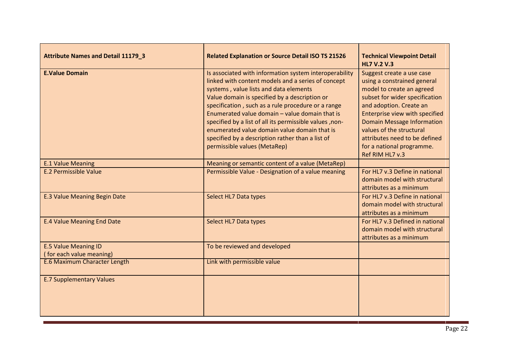| <b>Attribute Names and Detail 11179 3</b>               | <b>Related Explanation or Source Detail ISO TS 21526</b>                                                                                                                                                                                                                                                                                                                                                                                                                                                       | <b>Technical Viewpoint Detail</b><br><b>HL7 V.2 V.3</b>                                                                                                                                                                                                                                                                                |
|---------------------------------------------------------|----------------------------------------------------------------------------------------------------------------------------------------------------------------------------------------------------------------------------------------------------------------------------------------------------------------------------------------------------------------------------------------------------------------------------------------------------------------------------------------------------------------|----------------------------------------------------------------------------------------------------------------------------------------------------------------------------------------------------------------------------------------------------------------------------------------------------------------------------------------|
| <b>E.Value Domain</b>                                   | Is associated with information system interoperability<br>linked with content models and a series of concept<br>systems, value lists and data elements<br>Value domain is specified by a description or<br>specification, such as a rule procedure or a range<br>Enumerated value domain - value domain that is<br>specified by a list of all its permissible values, non-<br>enumerated value domain value domain that is<br>specified by a description rather than a list of<br>permissible values (MetaRep) | Suggest create a use case<br>using a constrained general<br>model to create an agreed<br>subset for wider specification<br>and adoption. Create an<br>Enterprise view with specified<br><b>Domain Message Information</b><br>values of the structural<br>attributes need to be defined<br>for a national programme.<br>Ref RIM HL7 v.3 |
| <b>E.1 Value Meaning</b>                                | Meaning or semantic content of a value (MetaRep)                                                                                                                                                                                                                                                                                                                                                                                                                                                               |                                                                                                                                                                                                                                                                                                                                        |
| <b>E.2 Permissible Value</b>                            | Permissible Value - Designation of a value meaning                                                                                                                                                                                                                                                                                                                                                                                                                                                             | For HL7 v.3 Define in national<br>domain model with structural<br>attributes as a minimum                                                                                                                                                                                                                                              |
| <b>E.3 Value Meaning Begin Date</b>                     | Select HL7 Data types                                                                                                                                                                                                                                                                                                                                                                                                                                                                                          | For HL7 v.3 Define in national<br>domain model with structural<br>attributes as a minimum                                                                                                                                                                                                                                              |
| <b>E.4 Value Meaning End Date</b>                       | Select HL7 Data types                                                                                                                                                                                                                                                                                                                                                                                                                                                                                          | For HL7 v.3 Defined in national<br>domain model with structural<br>attributes as a minimum                                                                                                                                                                                                                                             |
| <b>E.5 Value Meaning ID</b><br>(for each value meaning) | To be reviewed and developed                                                                                                                                                                                                                                                                                                                                                                                                                                                                                   |                                                                                                                                                                                                                                                                                                                                        |
| E.6 Maximum Character Length                            | Link with permissible value                                                                                                                                                                                                                                                                                                                                                                                                                                                                                    |                                                                                                                                                                                                                                                                                                                                        |
| <b>E.7 Supplementary Values</b>                         |                                                                                                                                                                                                                                                                                                                                                                                                                                                                                                                |                                                                                                                                                                                                                                                                                                                                        |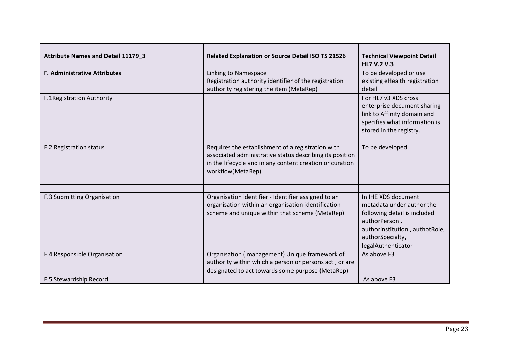| <b>Attribute Names and Detail 11179_3</b> | <b>Related Explanation or Source Detail ISO TS 21526</b>                                                                                                                                       | <b>Technical Viewpoint Detail</b><br><b>HL7 V.2 V.3</b>                                                                                                                       |
|-------------------------------------------|------------------------------------------------------------------------------------------------------------------------------------------------------------------------------------------------|-------------------------------------------------------------------------------------------------------------------------------------------------------------------------------|
| <b>F. Administrative Attributes</b>       | Linking to Namespace<br>Registration authority identifier of the registration<br>authority registering the item (MetaRep)                                                                      | To be developed or use<br>existing eHealth registration<br>detail                                                                                                             |
| F.1Registration Authority                 |                                                                                                                                                                                                | For HL7 v3 XDS cross<br>enterprise document sharing<br>link to Affinity domain and<br>specifies what information is<br>stored in the registry.                                |
| F.2 Registration status                   | Requires the establishment of a registration with<br>associated administrative status describing its position<br>in the lifecycle and in any content creation or curation<br>workflow(MetaRep) | To be developed                                                                                                                                                               |
| F.3 Submitting Organisation               | Organisation identifier - Identifier assigned to an<br>organisation within an organisation identification<br>scheme and unique within that scheme (MetaRep)                                    | In IHE XDS document<br>metadata under author the<br>following detail is included<br>authorPerson,<br>authorinstitution, authotRole,<br>authorSpecialty,<br>legalAuthenticator |
| F.4 Responsible Organisation              | Organisation (management) Unique framework of<br>authority within which a person or persons act, or are<br>designated to act towards some purpose (MetaRep)                                    | As above F3                                                                                                                                                                   |
| F.5 Stewardship Record                    |                                                                                                                                                                                                | As above F3                                                                                                                                                                   |